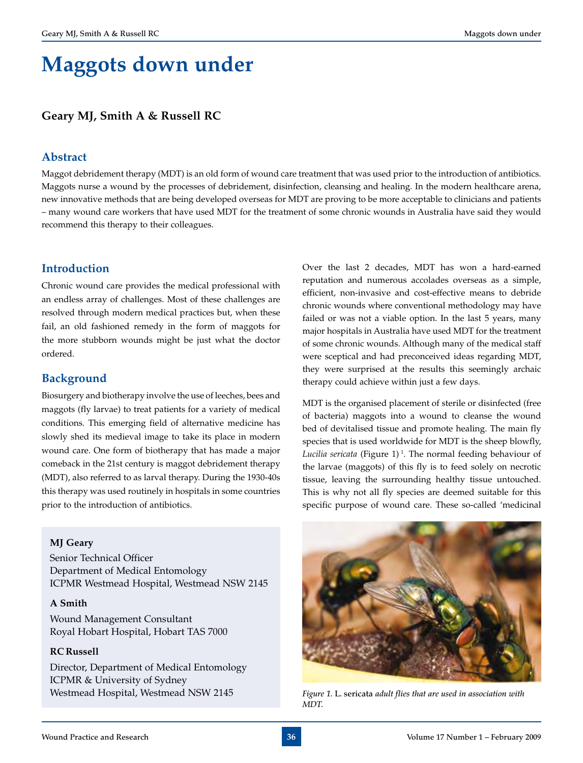# **Maggots down under**

## **Geary MJ, Smith A & Russell RC**

## **Abstract**

Maggot debridement therapy (MDT) is an old form of wound care treatment that was used prior to the introduction of antibiotics. Maggots nurse a wound by the processes of debridement, disinfection, cleansing and healing. In the modern healthcare arena, new innovative methods that are being developed overseas for MDT are proving to be more acceptable to clinicians and patients – many wound care workers that have used MDT for the treatment of some chronic wounds in Australia have said they would recommend this therapy to their colleagues.

## **Introduction**

Chronic wound care provides the medical professional with an endless array of challenges. Most of these challenges are resolved through modern medical practices but, when these fail, an old fashioned remedy in the form of maggots for the more stubborn wounds might be just what the doctor ordered.

## **Background**

Biosurgery and biotherapy involve the use of leeches, bees and maggots (fly larvae) to treat patients for a variety of medical conditions. This emerging field of alternative medicine has slowly shed its medieval image to take its place in modern wound care. One form of biotherapy that has made a major comeback in the 21st century is maggot debridement therapy (MDT), also referred to as larval therapy. During the 1930-40s this therapy was used routinely in hospitals in some countries prior to the introduction of antibiotics.

Over the last 2 decades, MDT has won a hard-earned reputation and numerous accolades overseas as a simple, efficient, non-invasive and cost-effective means to debride chronic wounds where conventional methodology may have failed or was not a viable option. In the last 5 years, many major hospitals in Australia have used MDT for the treatment of some chronic wounds. Although many of the medical staff were sceptical and had preconceived ideas regarding MDT, they were surprised at the results this seemingly archaic therapy could achieve within just a few days.

MDT is the organised placement of sterile or disinfected (free of bacteria) maggots into a wound to cleanse the wound bed of devitalised tissue and promote healing. The main fly species that is used worldwide for MDT is the sheep blowfly, *Lucilia sericata* (Figure 1) 1. The normal feeding behaviour of the larvae (maggots) of this fly is to feed solely on necrotic tissue, leaving the surrounding healthy tissue untouched. This is why not all fly species are deemed suitable for this specific purpose of wound care. These so-called 'medicinal

#### **MJ Geary**

Senior Technical Officer Department of Medical Entomology ICPMR Westmead Hospital, Westmead NSW 2145

#### **A Smith**

Wound Management Consultant Royal Hobart Hospital, Hobart TAS 7000

#### **RC Russell**

Director, Department of Medical Entomology ICPMR & University of Sydney Westmead Hospital, Westmead NSW 2145

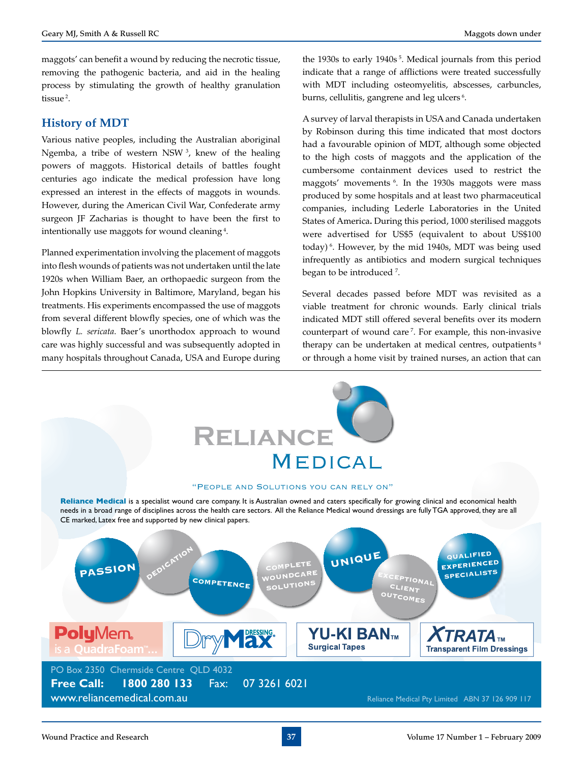maggots' can benefit a wound by reducing the necrotic tissue, removing the pathogenic bacteria, and aid in the healing process by stimulating the growth of healthy granulation tissue 2.

## **History of MDT**

Various native peoples, including the Australian aboriginal Ngemba, a tribe of western NSW 3, knew of the healing powers of maggots. Historical details of battles fought centuries ago indicate the medical profession have long expressed an interest in the effects of maggots in wounds. However, during the American Civil War, Confederate army surgeon JF Zacharias is thought to have been the first to intentionally use maggots for wound cleaning 4.

Planned experimentation involving the placement of maggots into flesh wounds of patients was not undertaken until the late 1920s when William Baer, an orthopaedic surgeon from the John Hopkins University in Baltimore, Maryland, began his treatments. His experiments encompassed the use of maggots from several different blowfly species, one of which was the blowfly *L. sericata*. Baer's unorthodox approach to wound care was highly successful and was subsequently adopted in many hospitals throughout Canada, USA and Europe during

the 1930s to early 1940s<sup>5</sup>. Medical journals from this period indicate that a range of afflictions were treated successfully with MDT including osteomyelitis, abscesses, carbuncles, burns, cellulitis, gangrene and leg ulcers  $^6$ .

A survey of larval therapists in USA and Canada undertaken by Robinson during this time indicated that most doctors had a favourable opinion of MDT, although some objected to the high costs of maggots and the application of the cumbersome containment devices used to restrict the maggots' movements 6. In the 1930s maggots were mass produced by some hospitals and at least two pharmaceutical companies, including Lederle Laboratories in the United States of America**.** During this period, 1000 sterilised maggots were advertised for US\$5 (equivalent to about US\$100 today) 6. However, by the mid 1940s, MDT was being used infrequently as antibiotics and modern surgical techniques began to be introduced <sup>7</sup> .

Several decades passed before MDT was revisited as a viable treatment for chronic wounds. Early clinical trials indicated MDT still offered several benefits over its modern counterpart of wound care 7. For example, this non-invasive therapy can be undertaken at medical centres, outpatients  $8$ or through a home visit by trained nurses, an action that can

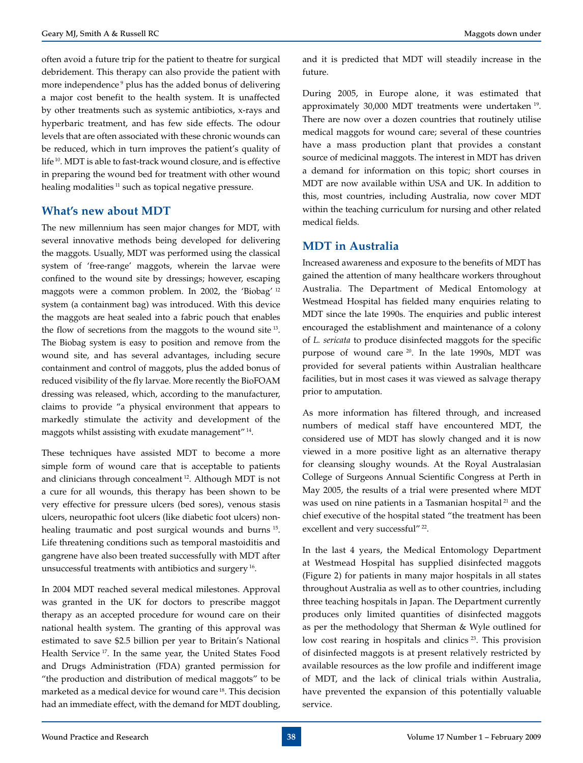often avoid a future trip for the patient to theatre for surgical debridement. This therapy can also provide the patient with more independence <sup>9</sup> plus has the added bonus of delivering a major cost benefit to the health system. It is unaffected by other treatments such as systemic antibiotics, x-rays and hyperbaric treatment, and has few side effects. The odour levels that are often associated with these chronic wounds can be reduced, which in turn improves the patient's quality of life 10. MDT is able to fast-track wound closure, and is effective in preparing the wound bed for treatment with other wound healing modalities<sup>11</sup> such as topical negative pressure.

## **What's new about MDT**

The new millennium has seen major changes for MDT, with several innovative methods being developed for delivering the maggots. Usually, MDT was performed using the classical system of 'free-range' maggots, wherein the larvae were confined to the wound site by dressings; however, escaping maggots were a common problem. In 2002, the 'Biobag' 12 system (a containment bag) was introduced. With this device the maggots are heat sealed into a fabric pouch that enables the flow of secretions from the maggots to the wound site 13. The Biobag system is easy to position and remove from the wound site, and has several advantages, including secure containment and control of maggots, plus the added bonus of reduced visibility of the fly larvae. More recently the BioFOAM dressing was released, which, according to the manufacturer, claims to provide "a physical environment that appears to markedly stimulate the activity and development of the maggots whilst assisting with exudate management" 14.

These techniques have assisted MDT to become a more simple form of wound care that is acceptable to patients and clinicians through concealment 12. Although MDT is not a cure for all wounds, this therapy has been shown to be very effective for pressure ulcers (bed sores), venous stasis ulcers, neuropathic foot ulcers (like diabetic foot ulcers) nonhealing traumatic and post surgical wounds and burns 15. Life threatening conditions such as temporal mastoiditis and gangrene have also been treated successfully with MDT after unsuccessful treatments with antibiotics and surgery 16.

In 2004 MDT reached several medical milestones. Approval was granted in the UK for doctors to prescribe maggot therapy as an accepted procedure for wound care on their national health system. The granting of this approval was estimated to save \$2.5 billion per year to Britain's National Health Service 17. In the same year, the United States Food and Drugs Administration (FDA) granted permission for "the production and distribution of medical maggots" to be marketed as a medical device for wound care 18. This decision had an immediate effect, with the demand for MDT doubling, and it is predicted that MDT will steadily increase in the future.

During 2005, in Europe alone, it was estimated that approximately 30,000 MDT treatments were undertaken 19. There are now over a dozen countries that routinely utilise medical maggots for wound care; several of these countries have a mass production plant that provides a constant source of medicinal maggots. The interest in MDT has driven a demand for information on this topic; short courses in MDT are now available within USA and UK. In addition to this, most countries, including Australia, now cover MDT within the teaching curriculum for nursing and other related medical fields.

## **MDT in Australia**

Increased awareness and exposure to the benefits of MDT has gained the attention of many healthcare workers throughout Australia. The Department of Medical Entomology at Westmead Hospital has fielded many enquiries relating to MDT since the late 1990s. The enquiries and public interest encouraged the establishment and maintenance of a colony of *L. sericata* to produce disinfected maggots for the specific purpose of wound care 20. In the late 1990s, MDT was provided for several patients within Australian healthcare facilities, but in most cases it was viewed as salvage therapy prior to amputation.

As more information has filtered through, and increased numbers of medical staff have encountered MDT, the considered use of MDT has slowly changed and it is now viewed in a more positive light as an alternative therapy for cleansing sloughy wounds. At the Royal Australasian College of Surgeons Annual Scientific Congress at Perth in May 2005, the results of a trial were presented where MDT was used on nine patients in a Tasmanian hospital<sup>21</sup> and the chief executive of the hospital stated "the treatment has been excellent and very successful"<sup>22</sup>.

In the last 4 years, the Medical Entomology Department at Westmead Hospital has supplied disinfected maggots (Figure 2) for patients in many major hospitals in all states throughout Australia as well as to other countries, including three teaching hospitals in Japan. The Department currently produces only limited quantities of disinfected maggots as per the methodology that Sherman & Wyle outlined for low cost rearing in hospitals and clinics<sup>23</sup>. This provision of disinfected maggots is at present relatively restricted by available resources as the low profile and indifferent image of MDT, and the lack of clinical trials within Australia, have prevented the expansion of this potentially valuable service.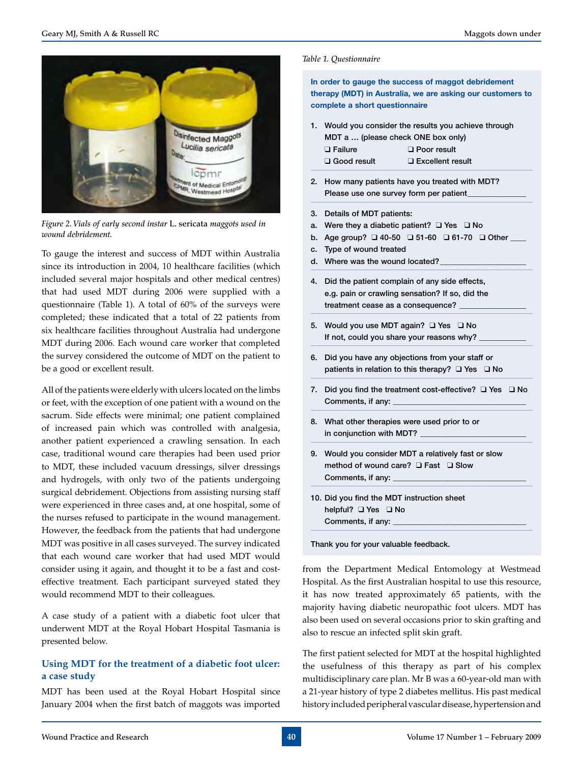

*Figure 2. Vials of early second instar* L. sericata *maggots used in wound debridement.*

To gauge the interest and success of MDT within Australia since its introduction in 2004, 10 healthcare facilities (which included several major hospitals and other medical centres) that had used MDT during 2006 were supplied with a questionnaire (Table 1). A total of 60% of the surveys were completed; these indicated that a total of 22 patients from six healthcare facilities throughout Australia had undergone MDT during 2006. Each wound care worker that completed the survey considered the outcome of MDT on the patient to be a good or excellent result.

All of the patients were elderly with ulcers located on the limbs or feet, with the exception of one patient with a wound on the sacrum. Side effects were minimal; one patient complained of increased pain which was controlled with analgesia, another patient experienced a crawling sensation. In each case, traditional wound care therapies had been used prior to MDT, these included vacuum dressings, silver dressings and hydrogels, with only two of the patients undergoing surgical debridement. Objections from assisting nursing staff were experienced in three cases and, at one hospital, some of the nurses refused to participate in the wound management. However, the feedback from the patients that had undergone MDT was positive in all cases surveyed. The survey indicated that each wound care worker that had used MDT would consider using it again, and thought it to be a fast and costeffective treatment. Each participant surveyed stated they would recommend MDT to their colleagues.

A case study of a patient with a diabetic foot ulcer that underwent MDT at the Royal Hobart Hospital Tasmania is presented below.

## **Using MDT for the treatment of a diabetic foot ulcer: a case study**

MDT has been used at the Royal Hobart Hospital since January 2004 when the first batch of maggots was imported

#### *Table 1. Questionnaire*

**In order to gauge the success of maggot debridement therapy (MDT) in Australia, we are asking our customers to complete a short questionnaire**

1. Would you consider the results you achieve through MDT a … (please check ONE box only)

| $\Box$ Failure     | D Poor result      |
|--------------------|--------------------|
| $\Box$ Good result | □ Excellent result |

- 2. How many patients have you treated with MDT? Please use one survey form per patient
- 3. Details of MDT patients:
- a. Were they a diabetic patient?  $\Box$  Yes  $\Box$  No
- b. Age group?  $\Box$  40-50  $\Box$  51-60  $\Box$  61-70  $\Box$  Other
- c. Type of wound treated
- d. Where was the wound located?
- 4. Did the patient complain of any side effects, e.g. pain or crawling sensation? If so, did the treatment cease as a consequence?
- 5. Would you use MDT again?  $\Box$  Yes  $\Box$  No If not, could you share your reasons why?
- 6. Did you have any objections from your staff or patients in relation to this therapy?  $\Box$  Yes  $\Box$  No
- 7. Did you find the treatment cost-effective?  $\Box$  Yes  $\Box$  No Comments, if any:
- 8. What other therapies were used prior to or in conjunction with MDT?
- 9. Would you consider MDT a relatively fast or slow method of wound care?  $\Box$  Fast  $\Box$  Slow Comments, if any:
- 10. Did you find the MDT instruction sheet helpful? Q Yes Q No Comments, if any:

Thank you for your valuable feedback.

from the Department Medical Entomology at Westmead Hospital. As the first Australian hospital to use this resource, it has now treated approximately 65 patients, with the majority having diabetic neuropathic foot ulcers. MDT has also been used on several occasions prior to skin grafting and also to rescue an infected split skin graft.

The first patient selected for MDT at the hospital highlighted the usefulness of this therapy as part of his complex multidisciplinary care plan. Mr B was a 60-year-old man with a 21-year history of type 2 diabetes mellitus. His past medical history included peripheral vascular disease, hypertension and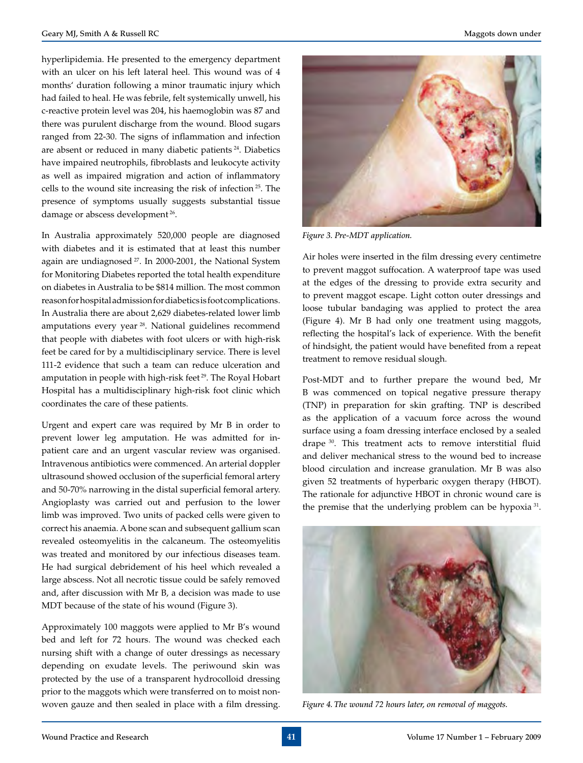hyperlipidemia. He presented to the emergency department with an ulcer on his left lateral heel. This wound was of 4 months' duration following a minor traumatic injury which had failed to heal. He was febrile, felt systemically unwell, his c-reactive protein level was 204, his haemoglobin was 87 and there was purulent discharge from the wound. Blood sugars ranged from 22-30. The signs of inflammation and infection are absent or reduced in many diabetic patients 24. Diabetics have impaired neutrophils, fibroblasts and leukocyte activity as well as impaired migration and action of inflammatory cells to the wound site increasing the risk of infection 25. The presence of symptoms usually suggests substantial tissue damage or abscess development<sup>26</sup>.

In Australia approximately 520,000 people are diagnosed with diabetes and it is estimated that at least this number again are undiagnosed<sup>27</sup>. In 2000-2001, the National System for Monitoring Diabetes reported the total health expenditure on diabetes in Australia to be \$814 million. The most common reason for hospital admission for diabetics is foot complications. In Australia there are about 2,629 diabetes-related lower limb amputations every year 28. National guidelines recommend that people with diabetes with foot ulcers or with high-risk feet be cared for by a multidisciplinary service. There is level 111-2 evidence that such a team can reduce ulceration and amputation in people with high-risk feet 29. The Royal Hobart Hospital has a multidisciplinary high-risk foot clinic which coordinates the care of these patients.

Urgent and expert care was required by Mr B in order to prevent lower leg amputation. He was admitted for inpatient care and an urgent vascular review was organised. Intravenous antibiotics were commenced. An arterial doppler ultrasound showed occlusion of the superficial femoral artery and 50-70% narrowing in the distal superficial femoral artery. Angioplasty was carried out and perfusion to the lower limb was improved. Two units of packed cells were given to correct his anaemia. A bone scan and subsequent gallium scan revealed osteomyelitis in the calcaneum. The osteomyelitis was treated and monitored by our infectious diseases team. He had surgical debridement of his heel which revealed a large abscess. Not all necrotic tissue could be safely removed and, after discussion with Mr B, a decision was made to use MDT because of the state of his wound (Figure 3).

Approximately 100 maggots were applied to Mr B's wound bed and left for 72 hours. The wound was checked each nursing shift with a change of outer dressings as necessary depending on exudate levels. The periwound skin was protected by the use of a transparent hydrocolloid dressing prior to the maggots which were transferred on to moist nonwoven gauze and then sealed in place with a film dressing.



*Figure 3. Pre-MDT application.*

Air holes were inserted in the film dressing every centimetre to prevent maggot suffocation. A waterproof tape was used at the edges of the dressing to provide extra security and to prevent maggot escape. Light cotton outer dressings and loose tubular bandaging was applied to protect the area (Figure 4). Mr B had only one treatment using maggots, reflecting the hospital's lack of experience. With the benefit of hindsight, the patient would have benefited from a repeat treatment to remove residual slough.

Post-MDT and to further prepare the wound bed, Mr B was commenced on topical negative pressure therapy (TNP) in preparation for skin grafting. TNP is described as the application of a vacuum force across the wound surface using a foam dressing interface enclosed by a sealed drape 30. This treatment acts to remove interstitial fluid and deliver mechanical stress to the wound bed to increase blood circulation and increase granulation. Mr B was also given 52 treatments of hyperbaric oxygen therapy (HBOT). The rationale for adjunctive HBOT in chronic wound care is the premise that the underlying problem can be hypoxia<sup>31</sup>.



*Figure 4. The wound 72 hours later, on removal of maggots.*